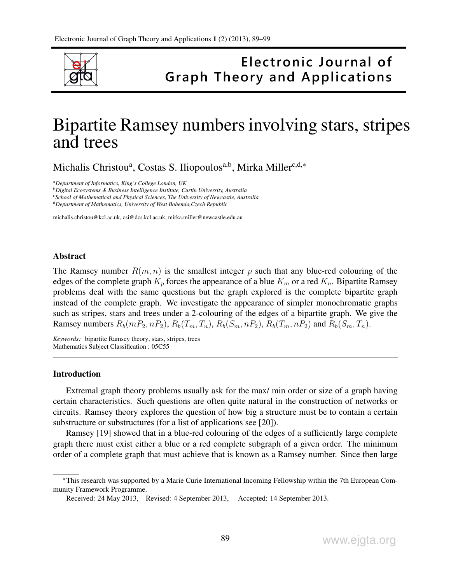

## Electronic Journal of **Graph Theory and Applications**

# Bipartite Ramsey numbers involving stars, stripes and trees

Michalis Christou<sup>a</sup>, Costas S. Iliopoulos<sup>a,b</sup>, Mirka Miller<sup>c,d,\*</sup>

*<sup>a</sup>Department of Informatics, King's College London, UK*

*<sup>b</sup>Digital Ecosystems & Business Intelligence Institute, Curtin University, Australia*

*<sup>c</sup>School of Mathematical and Physical Sciences, The University of Newcastle, Australia*

*<sup>d</sup>Department of Mathematics, University of West Bohemia,Czech Republic*

michalis.christou@kcl.ac.uk, csi@dcs.kcl.ac.uk, mirka.miller@newcastle.edu.au

#### Abstract

The Ramsey number  $R(m, n)$  is the smallest integer p such that any blue-red colouring of the edges of the complete graph  $K_p$  forces the appearance of a blue  $K_m$  or a red  $K_n$ . Bipartite Ramsey problems deal with the same questions but the graph explored is the complete bipartite graph instead of the complete graph. We investigate the appearance of simpler monochromatic graphs such as stripes, stars and trees under a 2-colouring of the edges of a bipartite graph. We give the Ramsey numbers  $R_b(mP_2, nP_2), R_b(T_m, T_n), R_b(S_m, nP_2), R_b(T_m, nP_2)$  and  $R_b(S_m, T_n)$ .

*Keywords:* bipartite Ramsey theory, stars, stripes, trees Mathematics Subject Classification : 05C55

#### Introduction

Extremal graph theory problems usually ask for the max/ min order or size of a graph having certain characteristics. Such questions are often quite natural in the construction of networks or circuits. Ramsey theory explores the question of how big a structure must be to contain a certain substructure or substructures (for a list of applications see [20]).

Ramsey [19] showed that in a blue-red colouring of the edges of a sufficiently large complete graph there must exist either a blue or a red complete subgraph of a given order. The minimum order of a complete graph that must achieve that is known as a Ramsey number. Since then large

<sup>∗</sup>This research was supported by a Marie Curie International Incoming Fellowship within the 7th European Community Framework Programme.

Received: 24 May 2013, Revised: 4 September 2013, Accepted: 14 September 2013.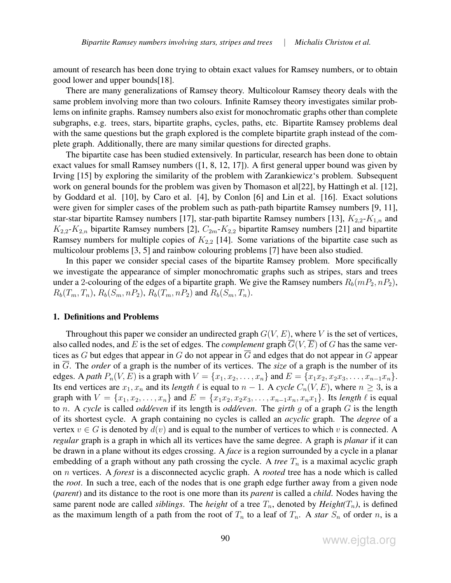amount of research has been done trying to obtain exact values for Ramsey numbers, or to obtain good lower and upper bounds[18].

There are many generalizations of Ramsey theory. Multicolour Ramsey theory deals with the same problem involving more than two colours. Infinite Ramsey theory investigates similar problems on infinite graphs. Ramsey numbers also exist for monochromatic graphs other than complete subgraphs, e.g. trees, stars, bipartite graphs, cycles, paths, etc. Bipartite Ramsey problems deal with the same questions but the graph explored is the complete bipartite graph instead of the complete graph. Additionally, there are many similar questions for directed graphs.

The bipartite case has been studied extensively. In particular, research has been done to obtain exact values for small Ramsey numbers ([1, 8, 12, 17]). A first general upper bound was given by Irving [15] by exploring the similarity of the problem with Zarankiewicz's problem. Subsequent work on general bounds for the problem was given by Thomason et al[22], by Hattingh et al. [12], by Goddard et al. [10], by Caro et al. [4], by Conlon [6] and Lin et al. [16]. Exact solutions were given for simpler cases of the problem such as path-path bipartite Ramsey numbers [9, 11], star-star bipartite Ramsey numbers [17], star-path bipartite Ramsey numbers [13],  $K_{2,2}$ - $K_{1,n}$  and  $K_{2,2}$ - $K_{2,n}$  bipartite Ramsey numbers [2],  $C_{2m}$ - $K_{2,2}$  bipartite Ramsey numbers [21] and bipartite Ramsey numbers for multiple copies of  $K_{2,2}$  [14]. Some variations of the bipartite case such as multicolour problems [3, 5] and rainbow colouring problems [7] have been also studied.

In this paper we consider special cases of the bipartite Ramsey problem. More specifically we investigate the appearance of simpler monochromatic graphs such as stripes, stars and trees under a 2-colouring of the edges of a bipartite graph. We give the Ramsey numbers  $R_b(mP_2, nP_2)$ ,  $R_b(T_m, T_n)$ ,  $R_b(S_m, nP_2)$ ,  $R_b(T_m, nP_2)$  and  $R_b(S_m, T_n)$ .

#### 1. Definitions and Problems

Throughout this paper we consider an undirected graph  $G(V, E)$ , where V is the set of vertices, also called nodes, and E is the set of edges. The *complement* graph  $\overline{G}(V, \overline{E})$  of G has the same vertices as  $G$  but edges that appear in  $G$  do not appear in  $G$  and edges that do not appear in  $G$  appear in G. The *order* of a graph is the number of its vertices. The *size* of a graph is the number of its edges. A *path*  $P_n(V, E)$  is a graph with  $V = \{x_1, x_2, \dots, x_n\}$  and  $E = \{x_1x_2, x_2x_3, \dots, x_{n-1}x_n\}.$ Its end vertices are  $x_1, x_n$  and its *length*  $\ell$  is equal to  $n - 1$ . A *cycle*  $C_n(V, E)$ , where  $n \geq 3$ , is a graph with  $V = \{x_1, x_2, \dots, x_n\}$  and  $E = \{x_1x_2, x_2x_3, \dots, x_{n-1}x_n, x_nx_1\}$ . Its *length*  $\ell$  is equal to n. A *cycle* is called *odd/even* if its length is *odd/even*. The *girth* g of a graph G is the length of its shortest cycle. A graph containing no cycles is called an *acyclic* graph. The *degree* of a vertex  $v \in G$  is denoted by  $d(v)$  and is equal to the number of vertices to which v is connected. A *regular* graph is a graph in which all its vertices have the same degree. A graph is *planar* if it can be drawn in a plane without its edges crossing. A *face* is a region surrounded by a cycle in a planar embedding of a graph without any path crossing the cycle. A *tree*  $T_n$  is a maximal acyclic graph on n vertices. A *forest* is a disconnected acyclic graph. A *rooted* tree has a node which is called the *root*. In such a tree, each of the nodes that is one graph edge further away from a given node (*parent*) and its distance to the root is one more than its *parent* is called a *child*. Nodes having the same parent node are called *siblings*. The *height* of a tree  $T_n$ , denoted by  $Height(T_n)$ , is defined as the maximum length of a path from the root of  $T_n$  to a leaf of  $T_n$ . A *star*  $S_n$  of order n, is a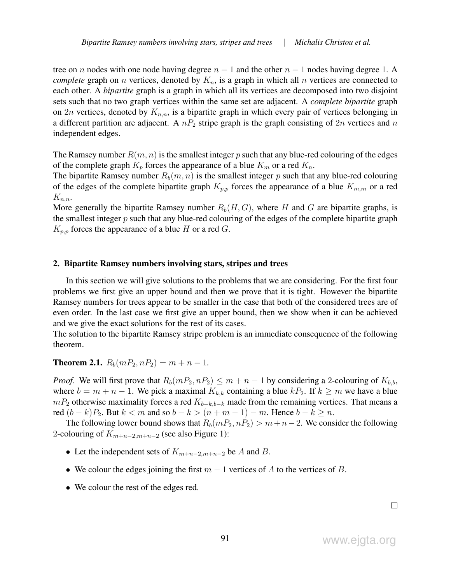tree on n nodes with one node having degree  $n - 1$  and the other  $n - 1$  nodes having degree 1. A *complete* graph on *n* vertices, denoted by  $K_n$ , is a graph in which all *n* vertices are connected to each other. A *bipartite* graph is a graph in which all its vertices are decomposed into two disjoint sets such that no two graph vertices within the same set are adjacent. A *complete bipartite* graph on 2n vertices, denoted by  $K_{n,n}$ , is a bipartite graph in which every pair of vertices belonging in a different partition are adjacent. A  $nP_2$  stripe graph is the graph consisting of  $2n$  vertices and n independent edges.

The Ramsey number  $R(m, n)$  is the smallest integer p such that any blue-red colouring of the edges of the complete graph  $K_p$  forces the appearance of a blue  $K_m$  or a red  $K_n$ .

The bipartite Ramsey number  $R_b(m, n)$  is the smallest integer p such that any blue-red colouring of the edges of the complete bipartite graph  $K_{p,p}$  forces the appearance of a blue  $K_{m,m}$  or a red  $K_{n,n}$ .

More generally the bipartite Ramsey number  $R_b(H, G)$ , where H and G are bipartite graphs, is the smallest integer  $p$  such that any blue-red colouring of the edges of the complete bipartite graph  $K_{p,p}$  forces the appearance of a blue H or a red G.

## 2. Bipartite Ramsey numbers involving stars, stripes and trees

In this section we will give solutions to the problems that we are considering. For the first four problems we first give an upper bound and then we prove that it is tight. However the bipartite Ramsey numbers for trees appear to be smaller in the case that both of the considered trees are of even order. In the last case we first give an upper bound, then we show when it can be achieved and we give the exact solutions for the rest of its cases.

The solution to the bipartite Ramsey stripe problem is an immediate consequence of the following theorem.

**Theorem 2.1.**  $R_b(mP_2, nP_2) = m + n - 1$ .

*Proof.* We will first prove that  $R_b(mP_2, nP_2) \le m + n - 1$  by considering a 2-colouring of  $K_{b,b}$ , where  $b = m + n - 1$ . We pick a maximal  $K_{k,k}$  containing a blue  $kP_2$ . If  $k \ge m$  we have a blue  $mP_2$  otherwise maximality forces a red  $K_{b-k,b-k}$  made from the remaining vertices. That means a red  $(b - k)P_2$ . But  $k < m$  and so  $b - k > (n + m - 1) - m$ . Hence  $b - k \ge n$ .

The following lower bound shows that  $R_b(mP_2, nP_2) > m+n-2$ . We consider the following 2-colouring of  $K_{m+n-2,m+n-2}$  (see also Figure 1):

- Let the independent sets of  $K_{m+n-2,m+n-2}$  be A and B.
- We colour the edges joining the first  $m 1$  vertices of A to the vertices of B.
- We colour the rest of the edges red.

 $\Box$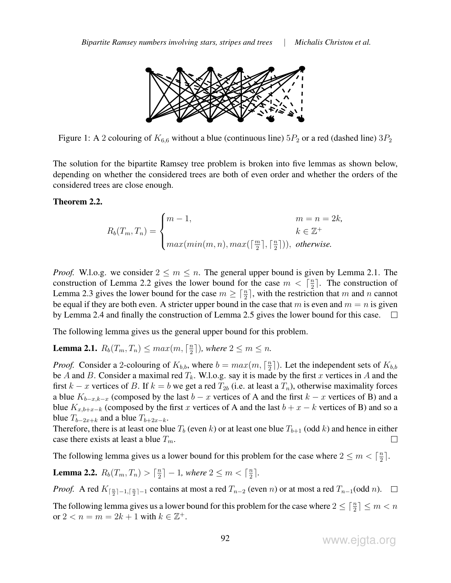

Figure 1: A 2 colouring of  $K_{6,6}$  without a blue (continuous line)  $5P_2$  or a red (dashed line)  $3P_2$ 

The solution for the bipartite Ramsey tree problem is broken into five lemmas as shown below, depending on whether the considered trees are both of even order and whether the orders of the considered trees are close enough.

## Theorem 2.2.

$$
R_b(T_m, T_n) = \begin{cases} m-1, & m = n = 2k, \\ \max(min(m, n), max(\lceil \frac{m}{2} \rceil, \lceil \frac{n}{2} \rceil)), & otherwise. \end{cases}
$$

*Proof.* W.l.o.g. we consider  $2 \le m \le n$ . The general upper bound is given by Lemma 2.1. The construction of Lemma 2.2 gives the lower bound for the case  $m < \lceil \frac{n}{2} \rceil$  $\frac{n}{2}$ . The construction of Lemma 2.3 gives the lower bound for the case  $m \geq \lceil \frac{n}{2} \rceil$ , with the restriction that m and n cannot be equal if they are both even. A stricter upper bound in the case that m is even and  $m = n$  is given by Lemma 2.4 and finally the construction of Lemma 2.5 gives the lower bound for this case.  $\sim 10$ 

The following lemma gives us the general upper bound for this problem.

**Lemma 2.1.**  $R_b(T_m, T_n) \leq max(m, \lceil \frac{n}{2} \rceil)$  $\frac{n}{2}$ ]), where  $2 \leq m \leq n$ .

*Proof.* Consider a 2-colouring of  $K_{b,b}$ , where  $b = max(m, \lceil \frac{n}{2} \rceil)$  $\frac{n}{2}$ ]). Let the independent sets of  $K_{b,b}$ be A and B. Consider a maximal red  $T_k$ . W.l.o.g. say it is made by the first x vertices in A and the first k – x vertices of B. If k = b we get a red  $T_{2b}$  (i.e. at least a  $T_n$ ), otherwise maximality forces a blue  $K_{b-x,k-x}$  (composed by the last  $b-x$  vertices of A and the first  $k-x$  vertices of B) and a blue  $K_{x,b+x-k}$  (composed by the first x vertices of A and the last  $b + x - k$  vertices of B) and so a blue  $T_{b-2x+k}$  and a blue  $T_{b+2x-k}$ .

Therefore, there is at least one blue  $T_b$  (even k) or at least one blue  $T_{b+1}$  (odd k) and hence in either case there exists at least a blue  $T_m$ .  $\Box$ 

The following lemma gives us a lower bound for this problem for the case where  $2 \le m < \lceil \frac{n}{2} \rceil$  $\frac{n}{2}$ .

**Lemma 2.2.**  $R_b(T_m, T_n) > \lceil \frac{n}{2} \rceil$  $\left\lfloor \frac{n}{2} \right\rfloor - 1$ , where  $2 \leq m < \lceil \frac{n}{2} \rceil$  $\frac{n}{2}$ .

*Proof.* A red  $K_{\lceil \frac{n}{2} \rceil - 1, \lceil \frac{n}{2} \rceil - 1}$  contains at most a red  $T_{n-2}$  (even n) or at most a red  $T_{n-1}(\text{odd }n)$ .

The following lemma gives us a lower bound for this problem for the case where  $2 \leq \lceil \frac{n}{2} \rceil \leq m < n$ or  $2 < n = m = 2k + 1$  with  $k \in \mathbb{Z}^+$ .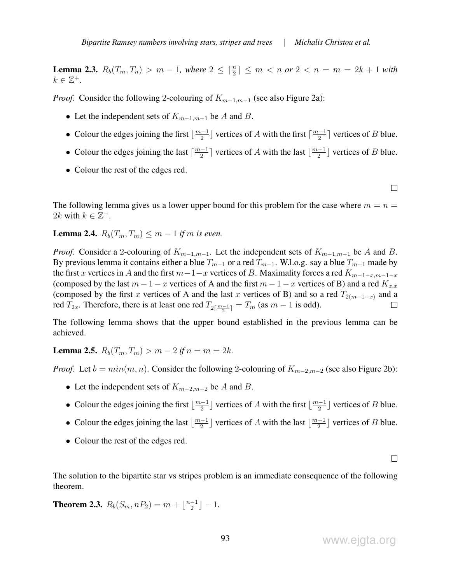**Lemma 2.3.**  $R_b(T_m, T_n) > m - 1$ , where  $2 \leq \lceil \frac{n}{2} \rceil \leq m < n$  or  $2 < n = m = 2k + 1$  with  $k \in \mathbb{Z}^+$ .

*Proof.* Consider the following 2-colouring of  $K_{m-1,m-1}$  (see also Figure 2a):

- Let the independent sets of  $K_{m-1,m-1}$  be A and B.
- Colour the edges joining the first  $\lfloor \frac{m-1}{2} \rfloor$  $\frac{(-1)}{2}$  vertices of A with the first  $\lceil \frac{m-1}{2} \rceil$  $\frac{(-1)}{2}$  vertices of *B* blue.
- Colour the edges joining the last  $\lceil \frac{m-1}{2} \rceil$  $\frac{(-1)}{2}$  vertices of A with the last  $\lfloor \frac{m-1}{2} \rfloor$  $\frac{-1}{2}$  vertices of *B* blue.
- Colour the rest of the edges red.

 $\Box$ 

The following lemma gives us a lower upper bound for this problem for the case where  $m = n =$ 2k with  $k \in \mathbb{Z}^+$ .

**Lemma 2.4.**  $R_b(T_m, T_m)$  ≤  $m − 1$  *if* m *is even.* 

*Proof.* Consider a 2-colouring of  $K_{m-1,m-1}$ . Let the independent sets of  $K_{m-1,m-1}$  be A and B. By previous lemma it contains either a blue  $T_{m-1}$  or a red  $T_{m-1}$ . W.l.o.g. say a blue  $T_{m-1}$  made by the first x vertices in A and the first  $m-1-x$  vertices of B. Maximality forces a red  $K_{m-1-x,m-1-x}$ (composed by the last  $m-1-x$  vertices of A and the first  $m-1-x$  vertices of B) and a red  $K_{x,x}$ (composed by the first x vertices of A and the last x vertices of B) and so a red  $T_{2(m-1-x)}$  and a red  $T_{2x}$ . Therefore, there is at least one red  $T_{2\lceil \frac{m-1}{2} \rceil} = T_m$  (as  $m-1$  is odd).

The following lemma shows that the upper bound established in the previous lemma can be achieved.

**Lemma 2.5.**  $R_b(T_m, T_m) > m - 2$  if  $n = m = 2k$ .

*Proof.* Let  $b = min(m, n)$ . Consider the following 2-colouring of  $K_{m-2,m-2}$  (see also Figure 2b):

- Let the independent sets of  $K_{m-2,m-2}$  be A and B.
- Colour the edges joining the first  $\lfloor \frac{m-1}{2} \rfloor$  $\frac{-1}{2}$ ] vertices of A with the first  $\lfloor \frac{m-1}{2} \rfloor$  $\frac{(-1)}{2}$  vertices of *B* blue.
- Colour the edges joining the last  $\lfloor \frac{m-1}{2} \rfloor$  $\frac{2^{-1}}{2}$  vertices of A with the last  $\lfloor \frac{m-1}{2} \rfloor$  $\frac{1}{2}$  vertices of *B* blue.
- Colour the rest of the edges red.

 $\Box$ 

The solution to the bipartite star vs stripes problem is an immediate consequence of the following theorem.

**Theorem 2.3.**  $R_b(S_m, nP_2) = m + \lfloor \frac{n-1}{2} \rfloor$  $\frac{-1}{2}$ ] – 1.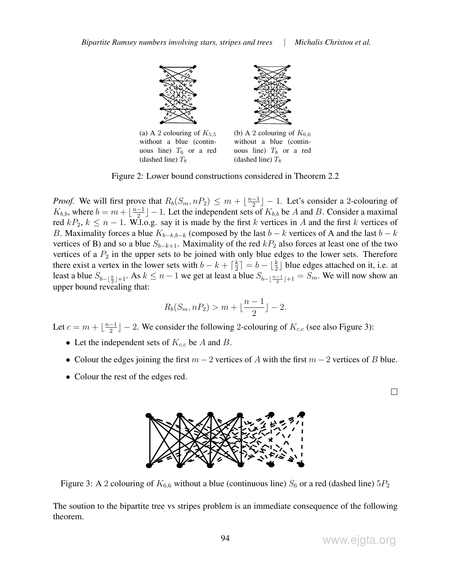(dashed line)  $T_8$ 



Figure 2: Lower bound constructions considered in Theorem 2.2

(dashed line)  $T_8$ 

*Proof.* We will first prove that  $R_b(S_m, nP_2) \leq m + \lfloor \frac{n-1}{2} \rfloor$  $\frac{-1}{2}$   $-1$ . Let's consider a 2-colouring of  $K_{b,b}$ , where  $b = m + \lfloor \frac{n-1}{2} \rfloor$  $\frac{-1}{2}$   $-1$ . Let the independent sets of  $K_{b,b}$  be A and B. Consider a maximal red  $kP_2$ ,  $k \leq n - 1$ . W.l.o.g. say it is made by the first k vertices in A and the first k vertices of B. Maximality forces a blue  $K_{b-k,b-k}$  (composed by the last  $b-k$  vertices of A and the last  $b-k$ vertices of B) and so a blue  $S_{b-k+1}$ . Maximality of the red  $kP_2$  also forces at least one of the two vertices of a  $P_2$  in the upper sets to be joined with only blue edges to the lower sets. Therefore there exist a vertex in the lower sets with  $b - k + \lceil \frac{k}{2} \rceil$  $\left\lfloor \frac{k}{2} \right\rfloor = b - \left\lfloor \frac{k}{2} \right\rfloor$  blue edges attached on it, i.e. at least a blue  $S_{b-\lfloor \frac{k}{2} \rfloor+1}$ . As  $k \le n-1$  we get at least a blue  $S_{b-\lfloor \frac{n-1}{2} \rfloor+1} = S_m$ . We will now show an upper bound revealing that:

$$
R_b(S_m, nP_2) > m + \lfloor \frac{n-1}{2} \rfloor - 2.
$$

Let  $c = m + \lfloor \frac{n-1}{2} \rfloor$  $\frac{-1}{2}$   $-2$ . We consider the following 2-colouring of  $K_{c,c}$  (see also Figure 3):

- Let the independent sets of  $K_{c,c}$  be A and B.
- Colour the edges joining the first  $m-2$  vertices of A with the first  $m-2$  vertices of B blue.
- Colour the rest of the edges red.



Figure 3: A 2 colouring of  $K_{6,6}$  without a blue (continuous line)  $S_6$  or a red (dashed line)  $5P_2$ 

The soution to the bipartite tree vs stripes problem is an immediate consequence of the following theorem.

 $\Box$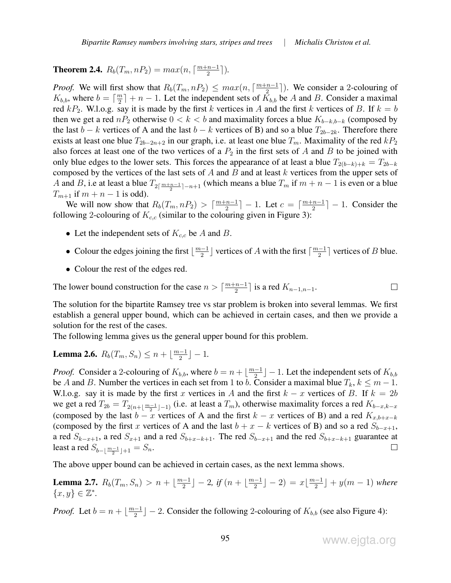**Theorem 2.4.**  $R_b(T_m, nP_2) = max(n, \lceil \frac{m+n-1}{2} \rceil)$  $\frac{n-1}{2}$ .

*Proof.* We will first show that  $R_b(T_m, nP_2) \leq max(n, \lceil \frac{m+n-1}{2} \rceil)$  $\frac{n-1}{2}$ . We consider a 2-colouring of  $K_{b,b}$ , where  $b = \lceil \frac{m}{2} \rceil$  $\lfloor \frac{m}{2} \rfloor + n - 1$ . Let the independent sets of  $K_{b,b}$  be A and B. Consider a maximal red  $kP_2$ . W.l.o.g. say it is made by the first k vertices in A and the first k vertices of B. If  $k = b$ then we get a red nP<sub>2</sub> otherwise  $0 < k < b$  and maximality forces a blue  $K_{b-k,b-k}$  (composed by the last  $b - k$  vertices of A and the last  $b - k$  vertices of B) and so a blue  $T_{2b-2k}$ . Therefore there exists at least one blue  $T_{2b-2n+2}$  in our graph, i.e. at least one blue  $T_m$ . Maximality of the red  $kP_2$ also forces at least one of the two vertices of a  $P_2$  in the first sets of A and B to be joined with only blue edges to the lower sets. This forces the appearance of at least a blue  $T_{2(b-k)+k} = T_{2b-k}$ composed by the vertices of the last sets of  $A$  and  $B$  and at least  $k$  vertices from the upper sets of A and B, i.e at least a blue  $T_{2\lceil \frac{m+n-1}{2}\rceil-n+1}$  (which means a blue  $T_m$  if  $m+n-1$  is even or a blue  $T_{m+1}$  if  $m + n - 1$  is odd).

We will now show that  $R_b(T_m, nP_2) > \lceil \frac{m+n-1}{2} \rceil$  $\left\lfloor \frac{n-1}{2} \right\rfloor - 1$ . Let  $c = \left\lceil \frac{m+n-1}{2} \right\rceil$  $\lfloor \frac{n-1}{2} \rfloor - 1$ . Consider the following 2-colouring of  $K_{c,c}$  (similar to the colouring given in Figure 3):

- Let the independent sets of  $K_{c,c}$  be A and B.
- Colour the edges joining the first  $\lfloor \frac{m-1}{2} \rfloor$  $\frac{(-1)}{2}$  vertices of A with the first  $\lceil \frac{m-1}{2} \rceil$  $\frac{(-1)}{2}$  vertices of *B* blue.
- Colour the rest of the edges red.

The lower bound construction for the case  $n > \lceil \frac{m+n-1}{2} \rceil$  $\frac{n-1}{2}$  is a red  $K_{n-1,n-1}$ .

The solution for the bipartite Ramsey tree vs star problem is broken into several lemmas. We first establish a general upper bound, which can be achieved in certain cases, and then we provide a solution for the rest of the cases.

The following lemma gives us the general upper bound for this problem.

**Lemma 2.6.**  $R_b(T_m, S_n) \le n + \lfloor \frac{m-1}{2} \rfloor$  $\frac{-1}{2}$ ] – 1.

*Proof.* Consider a 2-colouring of  $K_{b,b}$ , where  $b = n + \lfloor \frac{m-1}{2} \rfloor$  $\frac{(-1)}{2}$   $\rfloor$  – 1. Let the independent sets of  $K_{b,b}$ be A and B. Number the vertices in each set from 1 to b. Consider a maximal blue  $T_k$ ,  $k \leq m-1$ . W.l.o.g. say it is made by the first x vertices in A and the first  $k - x$  vertices of B. If  $k = 2b$ we get a red  $T_{2b} = T_{2(n+\lfloor \frac{m-1}{2} \rfloor-1)}$  (i.e. at least a  $T_m$ ), otherwise maximality forces a red  $K_{b-x,k-x}$ (composed by the last  $b - x$  vertices of A and the first  $k - x$  vertices of B) and a red  $K_{x,b+x-k}$ (composed by the first x vertices of A and the last  $b + x - k$  vertices of B) and so a red  $S_{b-x+1}$ , a red  $S_{k-x+1}$ , a red  $S_{x+1}$  and a red  $S_{b+x-k+1}$ . The red  $S_{b-x+1}$  and the red  $S_{b+x-k+1}$  guarantee at least a red  $S_{b-\lfloor \frac{m-1}{2} \rfloor+1} = S_n$ .  $\Box$ 

The above upper bound can be achieved in certain cases, as the next lemma shows.

**Lemma 2.7.**  $R_b(T_m, S_n) > n + \lfloor \frac{m-1}{2} \rfloor$  $\frac{n-1}{2}$ ] – 2*, if*  $(n + \lfloor \frac{m-1}{2} \rfloor)$  $\frac{(-1)}{2}$ ] - 2) =  $x\lfloor \frac{m-1}{2}$  $\frac{(-1)}{2}$  +  $y(m-1)$  where  $\{x, y\} \in \mathbb{Z}^*$ .

*Proof.* Let  $b = n + \lfloor \frac{m-1}{2} \rfloor$  $\frac{2}{2}$   $-1$   $-$  2. Consider the following 2-colouring of  $K_{b,b}$  (see also Figure 4):

 $\Box$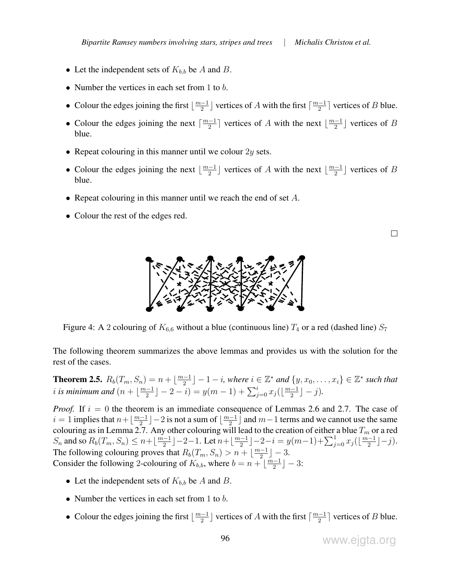- Let the independent sets of  $K_{b,b}$  be A and B.
- Number the vertices in each set from 1 to  $b$ .
- Colour the edges joining the first  $\lfloor \frac{m-1}{2} \rfloor$  $\frac{(-1)}{2}$  vertices of A with the first  $\lceil \frac{m-1}{2} \rceil$  $\frac{(-1)}{2}$  vertices of *B* blue.
- Colour the edges joining the next  $\lceil \frac{m-1}{2} \rceil$  $\lfloor \frac{m-1}{2} \rfloor$  vertices of A with the next  $\lfloor \frac{m-1}{2} \rfloor$  $\frac{-1}{2}$  vertices of B blue.
- Repeat colouring in this manner until we colour  $2y$  sets.
- Colour the edges joining the next  $\lfloor \frac{m-1}{2} \rfloor$  $\lfloor \frac{m-1}{2} \rfloor$  vertices of A with the next  $\lfloor \frac{m-1}{2} \rfloor$  $\frac{-1}{2}$  vertices of B blue.
- Repeat colouring in this manner until we reach the end of set  $A$ .
- Colour the rest of the edges red.

 $\Box$ 



Figure 4: A 2 colouring of  $K_{6,6}$  without a blue (continuous line)  $T_4$  or a red (dashed line)  $S_7$ 

The following theorem summarizes the above lemmas and provides us with the solution for the rest of the cases.

**Theorem 2.5.**  $R_b(T_m, S_n) = n + \lfloor \frac{m-1}{2} \rfloor$  $\lfloor \frac{n-1}{2} \rfloor - 1 - i$ , where  $i \in \mathbb{Z}^*$  and  $\{y, x_0, \ldots, x_i\} \in \mathbb{Z}^*$  such that *i* is minimum and  $\left(n + \frac{m-1}{2}\right)$  $\frac{(-1)}{2}$ ] – 2 – i) =  $y(m-1) + \sum_{j=0}^{i} x_j(\lfloor \frac{m-1}{2} \rfloor)$  $\frac{-1}{2}$ ] – j).

*Proof.* If  $i = 0$  the theorem is an immediate consequence of Lemmas 2.6 and 2.7. The case of  $i = 1$  implies that  $n + \lfloor \frac{m-1}{2} \rfloor$  $\lfloor \frac{n-1}{2} \rfloor - 2$  is not a sum of  $\lfloor \frac{m-1}{2} \rfloor$  $\frac{2^{n}-1}{2}$  and  $m-1$  terms and we cannot use the same colouring as in Lemma 2.7. Any other colouring will lead to the creation of either a blue  $T_m$  or a red  $S_n$  and so  $R_b(T_m, S_n) \leq n + \lfloor \frac{m-1}{2} \rfloor$  $\lfloor \frac{n-1}{2} \rfloor$  – 2–1. Let  $n + \lfloor \frac{m-1}{2} \rfloor$  $\frac{(-1)}{2}$ ] – 2 – i = y(m – 1) +  $\sum_{j=0}^{1} x_j$ ( $\lfloor \frac{m-1}{2} \rfloor$  $\frac{-1}{2}$ ]  $-j$ ). The following colouring proves that  $R_b(T_m, S_n) > n + \lfloor \frac{m-1}{2} \rfloor$  $\frac{-1}{2}$ ] – 3. Consider the following 2-colouring of  $K_{b,b}$ , where  $b = n + \left[\frac{m-1}{2}\right]$  $\frac{(-1)}{2}$  – 3:

- Let the independent sets of  $K_{b,b}$  be A and B.
- Number the vertices in each set from  $1$  to  $b$ .
- Colour the edges joining the first  $\lfloor \frac{m-1}{2} \rfloor$  $\frac{(-1)}{2}$  vertices of A with the first  $\lceil \frac{m-1}{2} \rceil$  $\frac{(-1)}{2}$  vertices of *B* blue.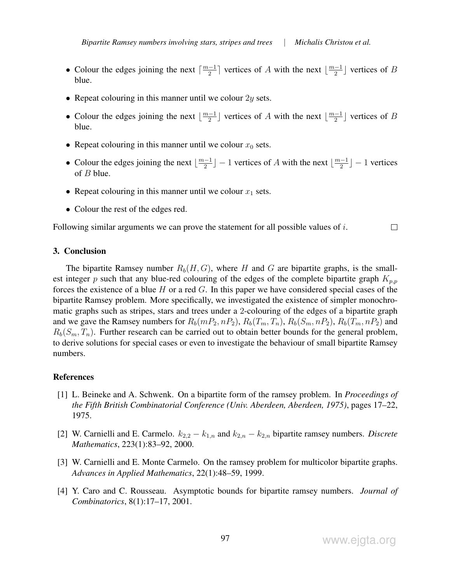- Colour the edges joining the next  $\lceil \frac{m-1}{2} \rceil$  $\lfloor \frac{m-1}{2} \rfloor$  vertices of A with the next  $\lfloor \frac{m-1}{2} \rfloor$  $\frac{-1}{2}$  vertices of B blue.
- Repeat colouring in this manner until we colour  $2y$  sets.
- Colour the edges joining the next  $\lfloor \frac{m-1}{2} \rfloor$  $\lfloor \frac{m-1}{2} \rfloor$  vertices of A with the next  $\lfloor \frac{m-1}{2} \rfloor$  $\frac{1}{2}$  vertices of B blue.
- Repeat colouring in this manner until we colour  $x_0$  sets.
- Colour the edges joining the next  $\lfloor \frac{m-1}{2} \rfloor$  $\lfloor \frac{m-1}{2} \rfloor - 1$  vertices of A with the next  $\lfloor \frac{m-1}{2} \rfloor$  $\frac{1}{2}$ ] – 1 vertices of  $B$  blue.
- Repeat colouring in this manner until we colour  $x_1$  sets.
- Colour the rest of the edges red.

Following similar arguments we can prove the statement for all possible values of  $i$ .  $\Box$ 

### 3. Conclusion

The bipartite Ramsey number  $R_b(H, G)$ , where H and G are bipartite graphs, is the smallest integer p such that any blue-red colouring of the edges of the complete bipartite graph  $K_{p,p}$ forces the existence of a blue H or a red  $G$ . In this paper we have considered special cases of the bipartite Ramsey problem. More specifically, we investigated the existence of simpler monochromatic graphs such as stripes, stars and trees under a 2-colouring of the edges of a bipartite graph and we gave the Ramsey numbers for  $R_b(mP_2, nP_2), R_b(T_m, T_n), R_b(S_m, nP_2), R_b(T_m, nP_2)$  and  $R_b(S_m, T_n)$ . Further research can be carried out to obtain better bounds for the general problem, to derive solutions for special cases or even to investigate the behaviour of small bipartite Ramsey numbers.

#### References

- [1] L. Beineke and A. Schwenk. On a bipartite form of the ramsey problem. In *Proceedings of the Fifth British Combinatorial Conference (Univ. Aberdeen, Aberdeen, 1975)*, pages 17–22, 1975.
- [2] W. Carnielli and E. Carmelo.  $k_{2,2} k_{1,n}$  and  $k_{2,n} k_{2,n}$  bipartite ramsey numbers. *Discrete Mathematics*, 223(1):83–92, 2000.
- [3] W. Carnielli and E. Monte Carmelo. On the ramsey problem for multicolor bipartite graphs. *Advances in Applied Mathematics*, 22(1):48–59, 1999.
- [4] Y. Caro and C. Rousseau. Asymptotic bounds for bipartite ramsey numbers. *Journal of Combinatorics*, 8(1):17–17, 2001.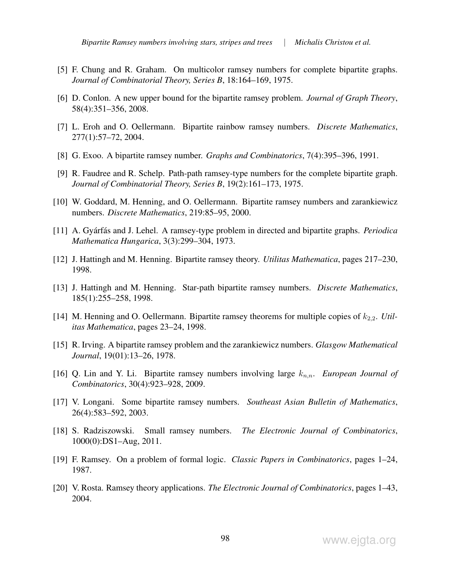- [5] F. Chung and R. Graham. On multicolor ramsey numbers for complete bipartite graphs. *Journal of Combinatorial Theory, Series B*, 18:164–169, 1975.
- [6] D. Conlon. A new upper bound for the bipartite ramsey problem. *Journal of Graph Theory*, 58(4):351–356, 2008.
- [7] L. Eroh and O. Oellermann. Bipartite rainbow ramsey numbers. *Discrete Mathematics*, 277(1):57–72, 2004.
- [8] G. Exoo. A bipartite ramsey number. *Graphs and Combinatorics*, 7(4):395–396, 1991.
- [9] R. Faudree and R. Schelp. Path-path ramsey-type numbers for the complete bipartite graph. *Journal of Combinatorial Theory, Series B*, 19(2):161–173, 1975.
- [10] W. Goddard, M. Henning, and O. Oellermann. Bipartite ramsey numbers and zarankiewicz numbers. *Discrete Mathematics*, 219:85–95, 2000.
- [11] A. Gyárfás and J. Lehel. A ramsey-type problem in directed and bipartite graphs. *Periodica Mathematica Hungarica*, 3(3):299–304, 1973.
- [12] J. Hattingh and M. Henning. Bipartite ramsey theory. *Utilitas Mathematica*, pages 217–230, 1998.
- [13] J. Hattingh and M. Henning. Star-path bipartite ramsey numbers. *Discrete Mathematics*, 185(1):255–258, 1998.
- [14] M. Henning and O. Oellermann. Bipartite ramsey theorems for multiple copies of  $k_{2,2}$ . *Utilitas Mathematica*, pages 23–24, 1998.
- [15] R. Irving. A bipartite ramsey problem and the zarankiewicz numbers. *Glasgow Mathematical Journal*, 19(01):13–26, 1978.
- [16] Q. Lin and Y. Li. Bipartite ramsey numbers involving large  $k_{n,n}$ . *European Journal of Combinatorics*, 30(4):923–928, 2009.
- [17] V. Longani. Some bipartite ramsey numbers. *Southeast Asian Bulletin of Mathematics*, 26(4):583–592, 2003.
- [18] S. Radziszowski. Small ramsey numbers. *The Electronic Journal of Combinatorics*, 1000(0):DS1–Aug, 2011.
- [19] F. Ramsey. On a problem of formal logic. *Classic Papers in Combinatorics*, pages 1–24, 1987.
- [20] V. Rosta. Ramsey theory applications. *The Electronic Journal of Combinatorics*, pages 1–43, 2004.